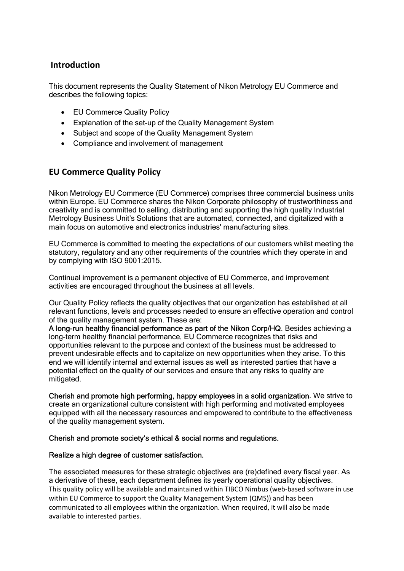### Introduction

This document represents the Quality Statement of Nikon Metrology EU Commerce and describes the following topics:

- EU Commerce Quality Policy
- Explanation of the set-up of the Quality Management System
- Subject and scope of the Quality Management System
- Compliance and involvement of management

## EU Commerce Quality Policy

Nikon Metrology EU Commerce (EU Commerce) comprises three commercial business units within Europe. EU Commerce shares the Nikon Corporate philosophy of trustworthiness and creativity and is committed to selling, distributing and supporting the high quality Industrial Metrology Business Unit's Solutions that are automated, connected, and digitalized with a main focus on automotive and electronics industries' manufacturing sites.

EU Commerce is committed to meeting the expectations of our customers whilst meeting the statutory, regulatory and any other requirements of the countries which they operate in and by complying with ISO 9001:2015.

Continual improvement is a permanent objective of EU Commerce, and improvement activities are encouraged throughout the business at all levels.

Our Quality Policy reflects the quality objectives that our organization has established at all relevant functions, levels and processes needed to ensure an effective operation and control of the quality management system. These are:

A long-run healthy financial performance as part of the Nikon Corp/HQ. Besides achieving a long-term healthy financial performance, EU Commerce recognizes that risks and opportunities relevant to the purpose and context of the business must be addressed to prevent undesirable effects and to capitalize on new opportunities when they arise. To this end we will identify internal and external issues as well as interested parties that have a potential effect on the quality of our services and ensure that any risks to quality are mitigated.

Cherish and promote high performing, happy employees in a solid organization. We strive to create an organizational culture consistent with high performing and motivated employees equipped with all the necessary resources and empowered to contribute to the effectiveness of the quality management system.

#### Cherish and promote society's ethical & social norms and regulations.

#### Realize a high degree of customer satisfaction.

The associated measures for these strategic objectives are (re)defined every fiscal year. As a derivative of these, each department defines its yearly operational quality objectives. This quality policy will be available and maintained within TIBCO Nimbus (web-based software in use within EU Commerce to support the Quality Management System (QMS)) and has been communicated to all employees within the organization. When required, it will also be made available to interested parties.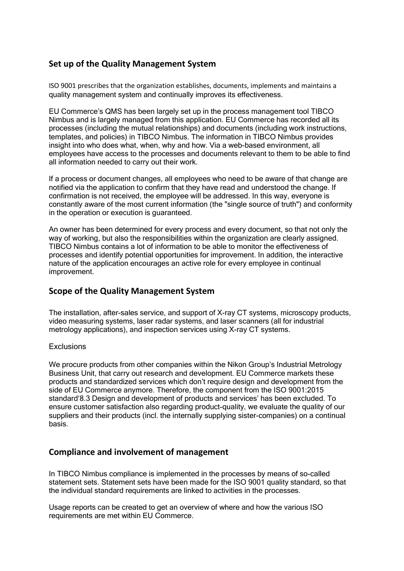# Set up of the Quality Management System

ISO 9001 prescribes that the organization establishes, documents, implements and maintains a quality management system and continually improves its effectiveness.

EU Commerce's QMS has been largely set up in the process management tool TIBCO Nimbus and is largely managed from this application. EU Commerce has recorded all its processes (including the mutual relationships) and documents (including work instructions, templates, and policies) in TIBCO Nimbus. The information in TIBCO Nimbus provides insight into who does what, when, why and how. Via a web-based environment, all employees have access to the processes and documents relevant to them to be able to find all information needed to carry out their work.

If a process or document changes, all employees who need to be aware of that change are notified via the application to confirm that they have read and understood the change. If confirmation is not received, the employee will be addressed. In this way, everyone is constantly aware of the most current information (the "single source of truth") and conformity in the operation or execution is guaranteed.

An owner has been determined for every process and every document, so that not only the way of working, but also the responsibilities within the organization are clearly assigned. TIBCO Nimbus contains a lot of information to be able to monitor the effectiveness of processes and identify potential opportunities for improvement. In addition, the interactive nature of the application encourages an active role for every employee in continual improvement.

## Scope of the Quality Management System

The installation, after-sales service, and support of X-ray CT systems, microscopy products, video measuring systems, laser radar systems, and laser scanners (all for industrial metrology applications), and inspection services using X-ray CT systems.

#### **Exclusions**

We procure products from other companies within the Nikon Group's Industrial Metrology Business Unit, that carry out research and development. EU Commerce markets these products and standardized services which don't require design and development from the side of EU Commerce anymore. Therefore, the component from the ISO 9001:2015 standard'8.3 Design and development of products and services' has been excluded. To ensure customer satisfaction also regarding product-quality, we evaluate the quality of our suppliers and their products (incl. the internally supplying sister-companies) on a continual basis.

#### Compliance and involvement of management

In TIBCO Nimbus compliance is implemented in the processes by means of so-called statement sets. Statement sets have been made for the ISO 9001 quality standard, so that the individual standard requirements are linked to activities in the processes.

Usage reports can be created to get an overview of where and how the various ISO requirements are met within EU Commerce.